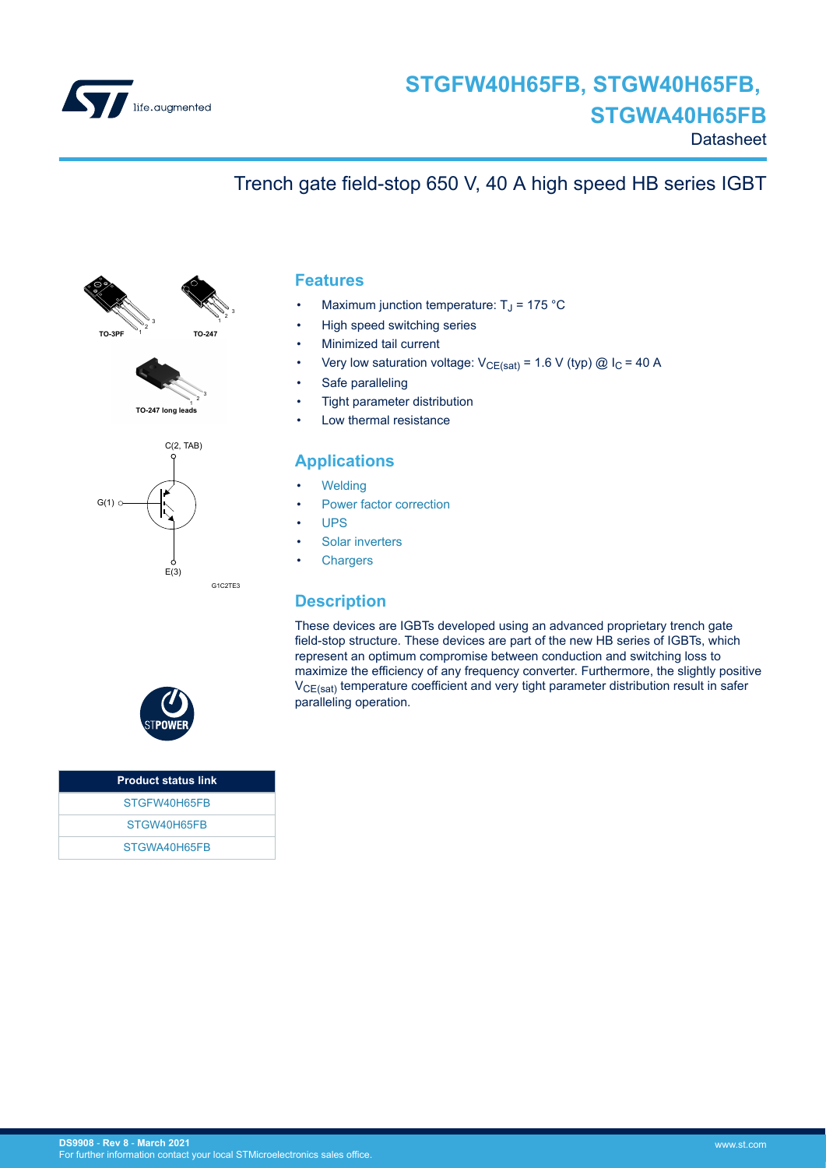

### **Datasheet**

## Trench gate field-stop 650 V, 40 A high speed HB series IGBT







#### **Features**

- Maximum junction temperature:  $T_J$  = 175 °C
- High speed switching series
- Minimized tail current
- Very low saturation voltage:  $V_{CE(sat)} = 1.6 V$  (typ) @ I<sub>C</sub> = 40 A
- Safe paralleling
- Tight parameter distribution
- Low thermal resistance

### **Applications**

- **[Welding](https://www.st.com/en/applications/industrial-power-and-tools/welding.html?ecmp=tt9471_gl_link_feb2019&rt=ds&id=DS9908)**
- [Power factor correction](https://www.st.com/en/applications/power-supplies-and-converters/pfc-converter-single-phase-input.html?ecmp=tt9471_gl_link_feb2019&rt=ds&id=DS9908)
- [UPS](https://www.st.com/en/applications/power-supplies-and-converters/uninterruptable-power-supplies-ups.html?ecmp=tt9471_gl_link_feb2019&rt=ds&id=DS9908)
- [Solar inverters](https://www.st.com/en/applications/energy-generation-and-distribution/solar-inverters-string-and-central.html?ecmp=tt9471_gl_link_feb2019&rt=ds&id=DS9908)
- **[Chargers](https://www.st.com/en/applications/energy-generation-and-distribution/dc-fast-charging-station.html?ecmp=tt9471_gl_link_feb2019&rt=ds&id=DS9908)**

### **Description**

These devices are IGBTs developed using an advanced proprietary trench gate field-stop structure. These devices are part of the new HB series of IGBTs, which represent an optimum compromise between conduction and switching loss to maximize the efficiency of any frequency converter. Furthermore, the slightly positive  $V_{CE(sat)}$  temperature coefficient and very tight parameter distribution result in safer paralleling operation.



| <b>Product status link</b> |
|----------------------------|
| STGFW40H65FB               |
| STGW40H65FB                |
| STGWA40H65FB               |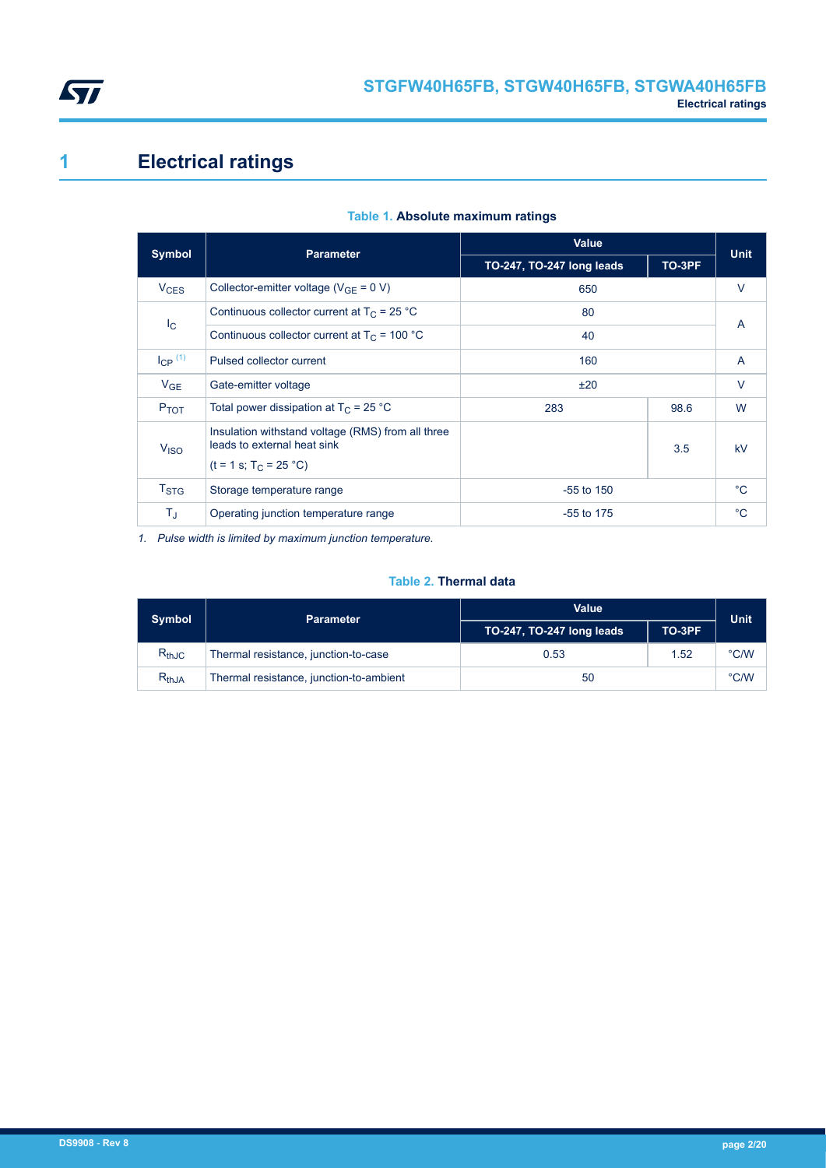<span id="page-1-0"></span>

# **1 Electrical ratings**

| <b>Symbol</b>          | <b>Parameter</b>                                                                                             | <b>Value</b>              |        |              |  | <b>Unit</b> |
|------------------------|--------------------------------------------------------------------------------------------------------------|---------------------------|--------|--------------|--|-------------|
|                        |                                                                                                              | TO-247, TO-247 long leads | TO-3PF |              |  |             |
| <b>V<sub>CES</sub></b> | Collector-emitter voltage ( $V_{GF} = 0 V$ )                                                                 | 650                       |        | $\vee$       |  |             |
|                        | Continuous collector current at $T_C = 25 °C$                                                                | 80                        |        | A            |  |             |
| $I_{\rm C}$            | Continuous collector current at $T_c$ = 100 °C                                                               | 40                        |        |              |  |             |
| $I_{CP}$ $(1)$         | Pulsed collector current                                                                                     | 160                       |        | A            |  |             |
| $V_{GE}$               | Gate-emitter voltage                                                                                         | ±20                       |        | $\vee$       |  |             |
| $P_{TOT}$              | Total power dissipation at $T_C = 25 °C$<br>283<br>98.6                                                      |                           |        | W            |  |             |
| <b>V<sub>ISO</sub></b> | Insulation withstand voltage (RMS) from all three<br>leads to external heat sink<br>$(t = 1 s; T_C = 25 °C)$ |                           | 3.5    | kV           |  |             |
| <b>T<sub>STG</sub></b> | Storage temperature range                                                                                    | $-55$ to $150$            |        | $^{\circ}C$  |  |             |
| TJ                     | Operating junction temperature range<br>$-55$ to 175                                                         |                           |        | $^{\circ}$ C |  |             |

#### **Table 1. Absolute maximum ratings**

*1. Pulse width is limited by maximum junction temperature.*

### **Table 2. Thermal data**

| <b>Symbol</b>                | <b>Parameter</b>                        | <b>Value</b>              |      | <b>Unit</b>   |
|------------------------------|-----------------------------------------|---------------------------|------|---------------|
|                              |                                         | TO-247, TO-247 long leads |      |               |
| $R_{thJC}$                   | Thermal resistance, junction-to-case    | 0.53                      | 1.52 | $\degree$ C/W |
| $\mathsf{R}_{\mathsf{thJA}}$ | Thermal resistance, junction-to-ambient | 50                        |      | $\degree$ C/W |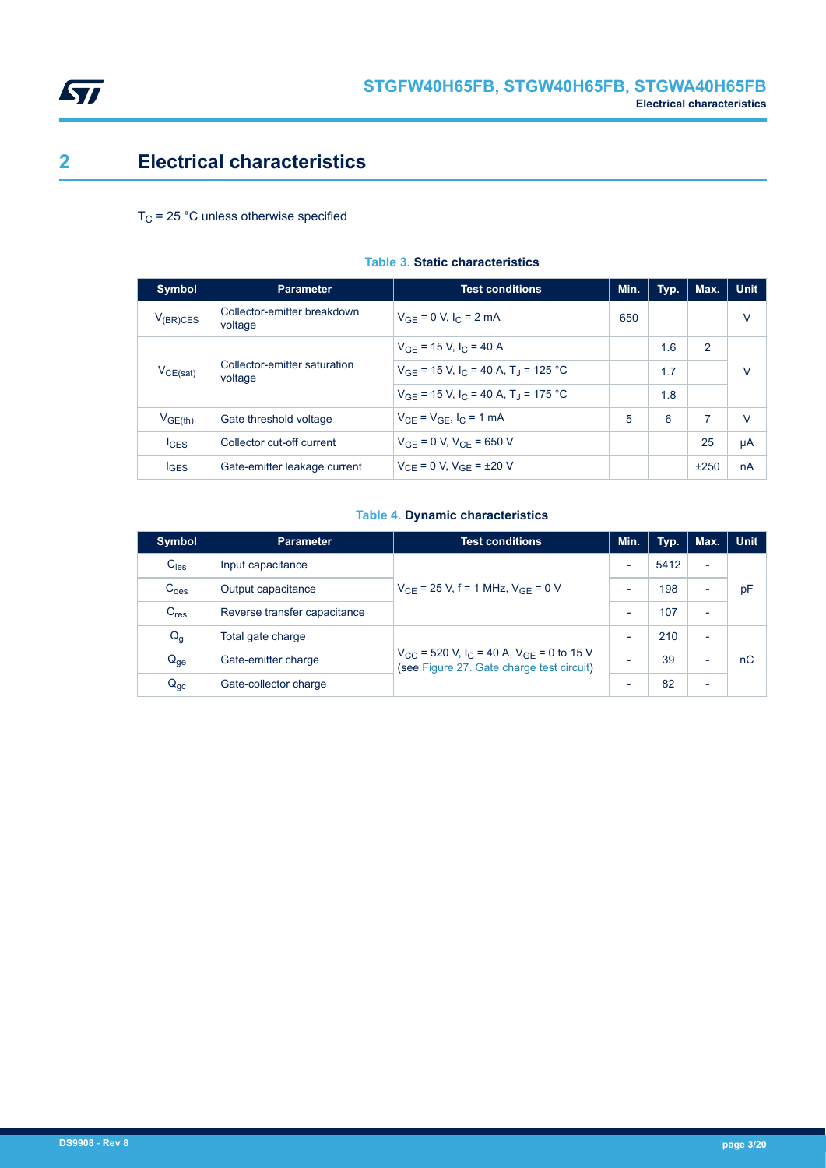<span id="page-2-0"></span>

## **2 Electrical characteristics**

 $T_C$  = 25 °C unless otherwise specified

| <b>Symbol</b>                                            | <b>Parameter</b>                                                | <b>Test conditions</b>                                          | Min. | Typ. | Max. | <b>Unit</b> |
|----------------------------------------------------------|-----------------------------------------------------------------|-----------------------------------------------------------------|------|------|------|-------------|
| $V_{(BR)CES}$                                            | Collector-emitter breakdown<br>voltage                          | $V_{GF} = 0 V, I_C = 2 mA$                                      | 650  |      |      | V           |
| Collector-emitter saturation<br>$V_{CE(sat)}$<br>voltage | $V_{GF}$ = 15 V, I <sub>C</sub> = 40 A                          |                                                                 | 1.6  | 2    |      |             |
|                                                          |                                                                 | $V_{GF}$ = 15 V, I <sub>C</sub> = 40 A, T <sub>J</sub> = 125 °C |      | 1.7  |      | V           |
|                                                          | $V_{GF}$ = 15 V, I <sub>C</sub> = 40 A, T <sub>J</sub> = 175 °C |                                                                 | 1.8  |      |      |             |
| V <sub>GE(th)</sub>                                      | Gate threshold voltage                                          | $V_{CF} = V_{GF}$ , $I_C = 1$ mA                                | 5    | 6    | 7    | $\vee$      |
| $I_{CES}$                                                | Collector cut-off current                                       | $V_{GF} = 0 V, V_{CF} = 650 V$                                  |      |      | 25   | μA          |
| $I_{\text{GES}}$                                         | Gate-emitter leakage current                                    | $V_{CF} = 0 V$ , $V_{GF} = \pm 20 V$                            |      |      | ±250 | nA          |

### **Table 3. Static characteristics**

### **Table 4. Dynamic characteristics**

| Symbol           | <b>Parameter</b>             | <b>Test conditions</b>                                                                                            | Min.                     | Typ. | Max.                     | <b>Unit</b> |
|------------------|------------------------------|-------------------------------------------------------------------------------------------------------------------|--------------------------|------|--------------------------|-------------|
| $C_{\text{ies}}$ | Input capacitance            | $V_{CF}$ = 25 V, f = 1 MHz, $V_{GF}$ = 0 V                                                                        |                          | 5412 | $\overline{\phantom{0}}$ |             |
| C <sub>oes</sub> | Output capacitance           |                                                                                                                   |                          | 198  | $\overline{\phantom{0}}$ | pF          |
| C <sub>res</sub> | Reverse transfer capacitance |                                                                                                                   |                          | 107  | $\overline{\phantom{0}}$ |             |
| $Q_g$            | Total gate charge            |                                                                                                                   |                          | 210  | $\overline{\phantom{0}}$ |             |
| $Q_{ge}$         | Gate-emitter charge          | $V_{CC}$ = 520 V, I <sub>C</sub> = 40 A, V <sub>GE</sub> = 0 to 15 V<br>(see Figure 27. Gate charge test circuit) | $\overline{\phantom{0}}$ | 39   | -                        | nC          |
| $Q_{gc}$         | Gate-collector charge        |                                                                                                                   |                          | 82   | $\overline{\phantom{0}}$ |             |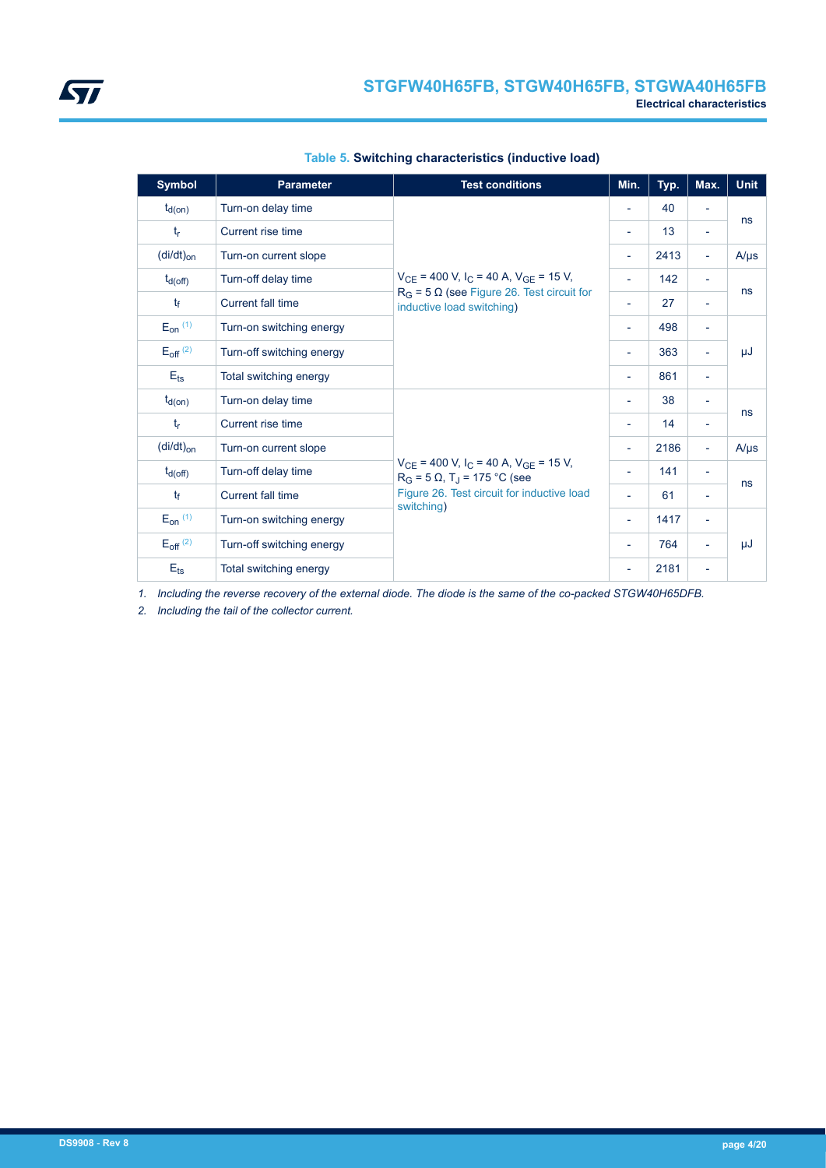| <b>Symbol</b>            | <b>Parameter</b>          | <b>Test conditions</b>                                                                                                | Min.                     | Typ. | Max.                     | <b>Unit</b> |
|--------------------------|---------------------------|-----------------------------------------------------------------------------------------------------------------------|--------------------------|------|--------------------------|-------------|
| $t_{d(on)}$              | Turn-on delay time        |                                                                                                                       | $\overline{\phantom{a}}$ | 40   |                          |             |
| $t_{r}$                  | Current rise time         |                                                                                                                       | $\overline{\phantom{a}}$ | 13   | $\overline{\phantom{a}}$ | ns          |
| $(dil/dt)_{on}$          | Turn-on current slope     |                                                                                                                       | $\overline{\phantom{a}}$ | 2413 | $\overline{\phantom{a}}$ | $A/\mu s$   |
| $t_{d(Off)}$             | Turn-off delay time       | $V_{CE}$ = 400 V, I <sub>C</sub> = 40 A, V <sub>GE</sub> = 15 V,                                                      | $\overline{\phantom{a}}$ | 142  | $\overline{\phantom{a}}$ |             |
| $t_{\rm f}$              | Current fall time         | $R_G$ = 5 $\Omega$ (see Figure 26. Test circuit for<br>inductive load switching)                                      | $\overline{\phantom{a}}$ | 27   | $\overline{\phantom{a}}$ | ns          |
| $E_{on}$ (1)             | Turn-on switching energy  |                                                                                                                       | $\overline{\phantom{a}}$ | 498  | $\overline{\phantom{a}}$ |             |
| $E_{off}$ <sup>(2)</sup> | Turn-off switching energy |                                                                                                                       | $\overline{\phantom{a}}$ | 363  | $\overline{\phantom{a}}$ | μJ          |
| $E_{\text{ts}}$          | Total switching energy    |                                                                                                                       |                          | 861  | $\overline{\phantom{a}}$ |             |
| $t_{d(on)}$              | Turn-on delay time        |                                                                                                                       | $\overline{\phantom{a}}$ | 38   | $\overline{\phantom{a}}$ |             |
| $t_{r}$                  | Current rise time         |                                                                                                                       | $\overline{\phantom{a}}$ | 14   | $\overline{\phantom{a}}$ | ns          |
| $(di/dt)_{on}$           | Turn-on current slope     |                                                                                                                       | $\overline{\phantom{a}}$ | 2186 | $\overline{\phantom{a}}$ | $A/\mu s$   |
| $t_{d(Off)}$             | Turn-off delay time       | $V_{CE}$ = 400 V, I <sub>C</sub> = 40 A, V <sub>GE</sub> = 15 V,<br>$R_G$ = 5 $\Omega$ , T <sub>J</sub> = 175 °C (see | $\overline{\phantom{a}}$ | 141  | $\overline{\phantom{a}}$ |             |
| $t_{\rm f}$              | Current fall time         | Figure 26. Test circuit for inductive load                                                                            | $\overline{\phantom{a}}$ | 61   |                          | ns          |
| $E_{on}$ (1)             | Turn-on switching energy  | switching)                                                                                                            | $\overline{\phantom{a}}$ | 1417 | $\overline{\phantom{a}}$ |             |
| $E_{off}$ <sup>(2)</sup> | Turn-off switching energy |                                                                                                                       | $\overline{\phantom{a}}$ | 764  |                          | μJ          |
| $E_{ts}$                 | Total switching energy    |                                                                                                                       |                          | 2181 | $\overline{\phantom{a}}$ |             |

#### **Table 5. Switching characteristics (inductive load)**

*1. Including the reverse recovery of the external diode. The diode is the same of the co-packed STGW40H65DFB.*

*2. Including the tail of the collector current.*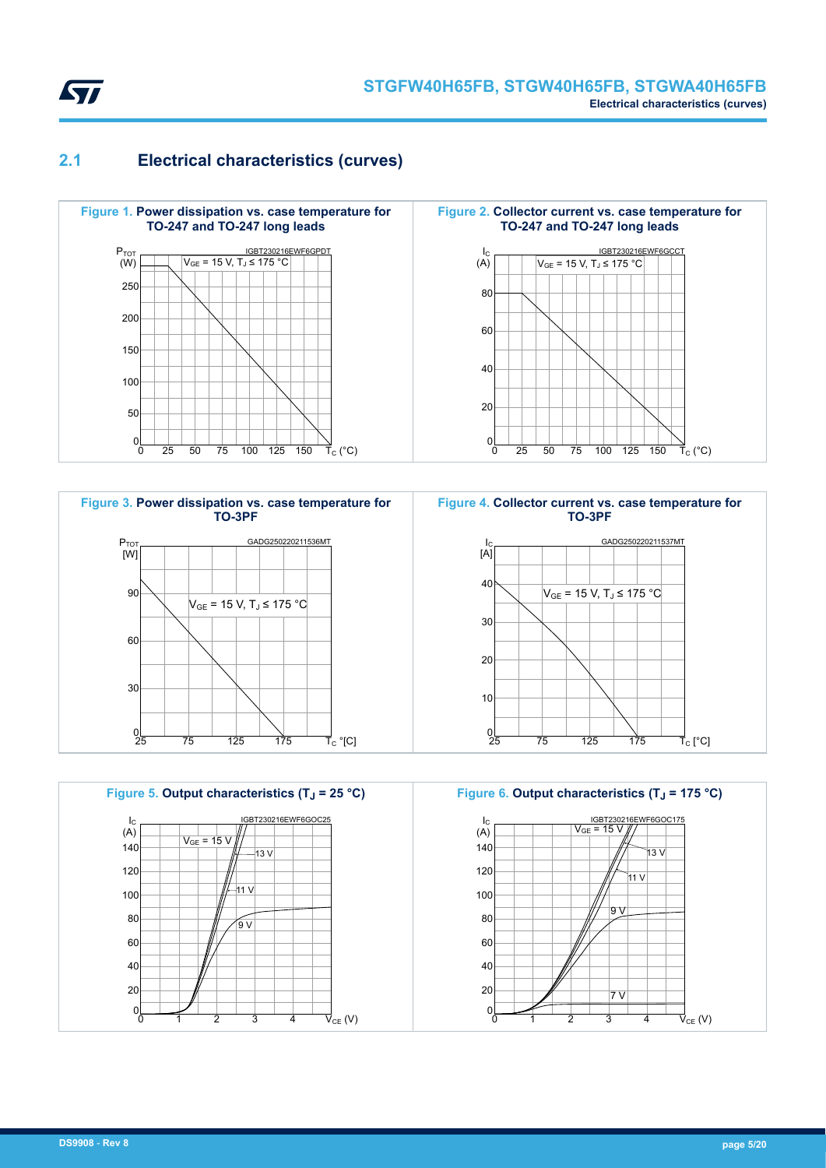<span id="page-4-0"></span>

### **2.1 Electrical characteristics (curves)**







**Figure 6. Output characteristics (TJ = 175 °C)**

 $\vec{\mathsf{T}}_{\mathsf{C}}$  (°C)

 $\vec{\mathsf{T}}_{\rm C}$  [°C]

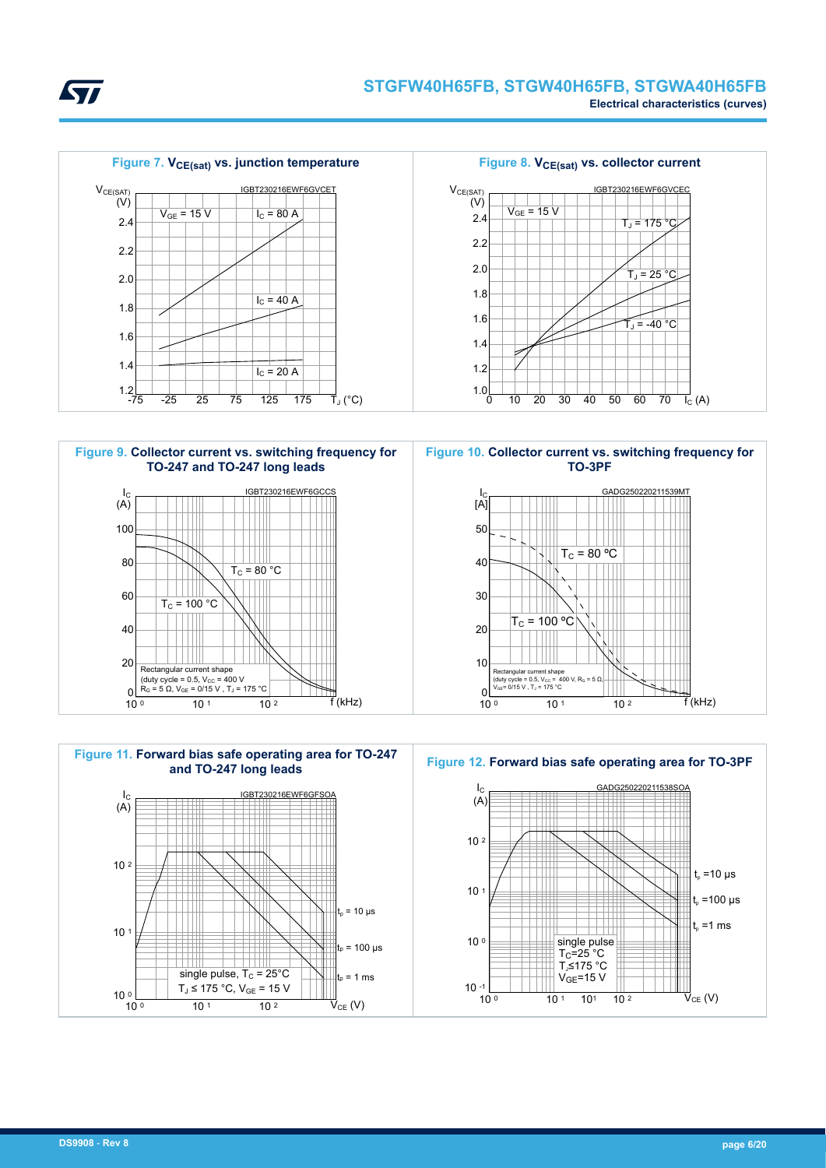



**STI** 





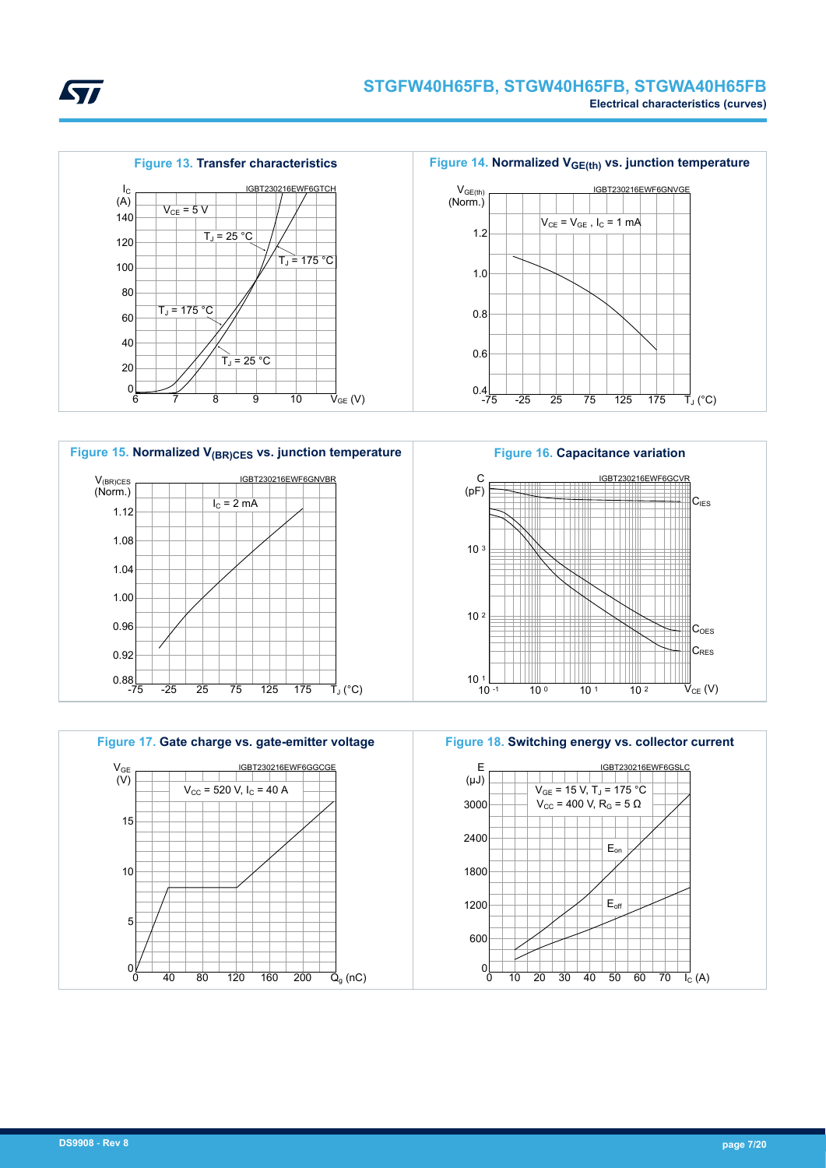







**Figure 14. Normalized VGE(th) vs. junction temperature**



**Figure 16. Capacitance variation** C IGBT230216EWF6GCVR (pF) **C<sub>IES</sub>** 10 <sup>3</sup> 10 <sup>2</sup> Ħ Ħ  $C<sub>oes</sub>$  $C_{\text{RFS}}$  $10^{-1}$   $-1$  $10^{\circ}$  10 1 10 2  $\vec{\mathsf{V}}_{\mathsf{CE}}$  (V)





*Lyt*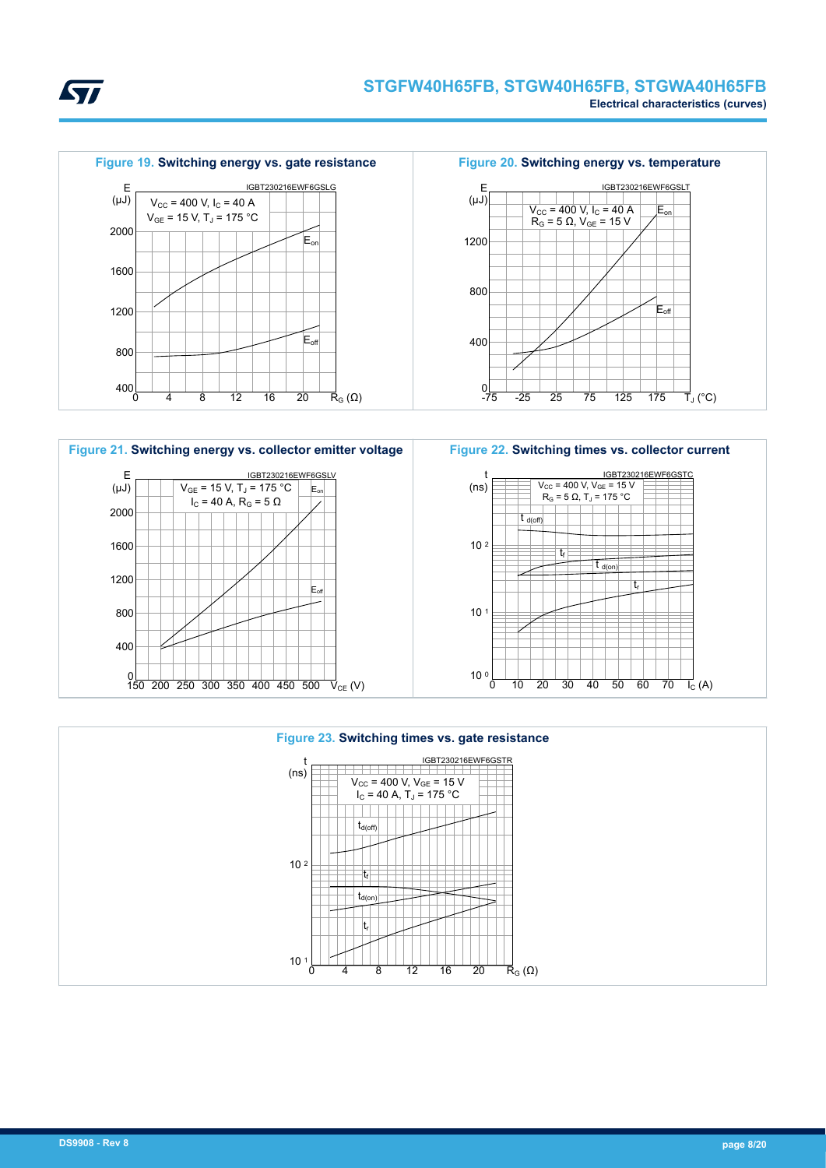









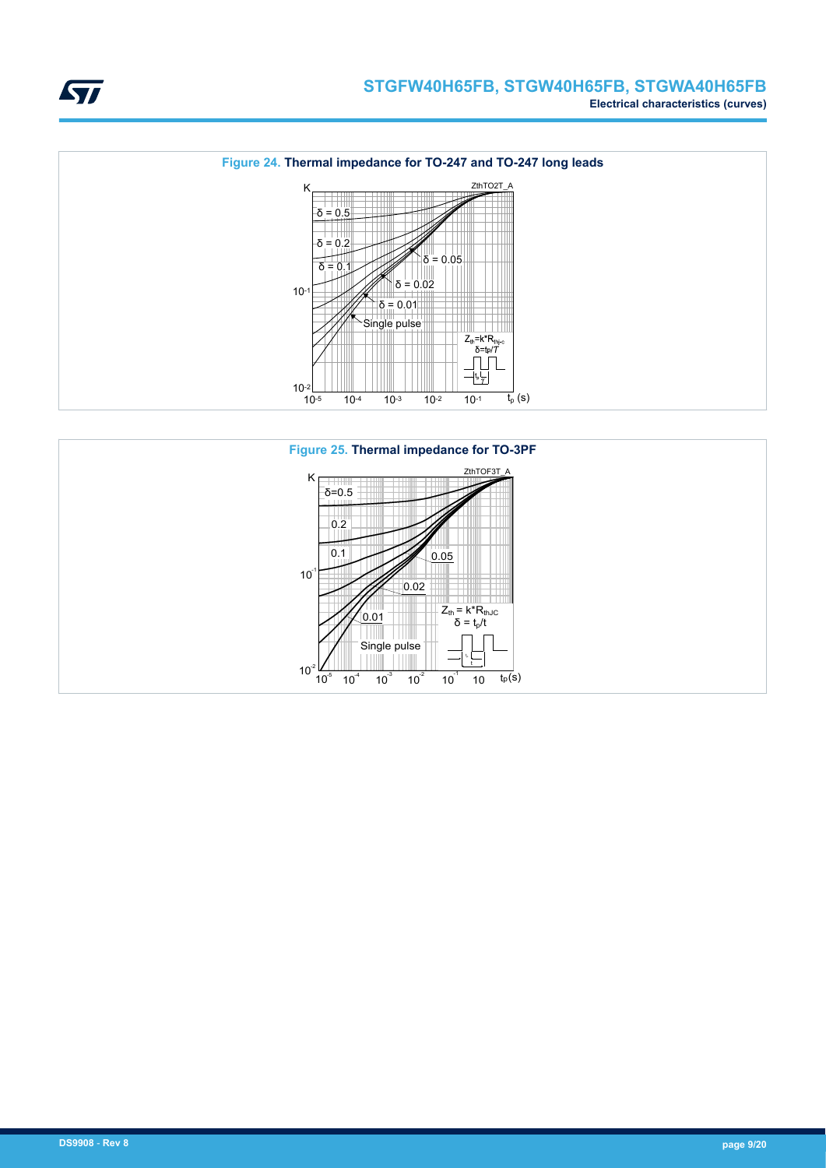



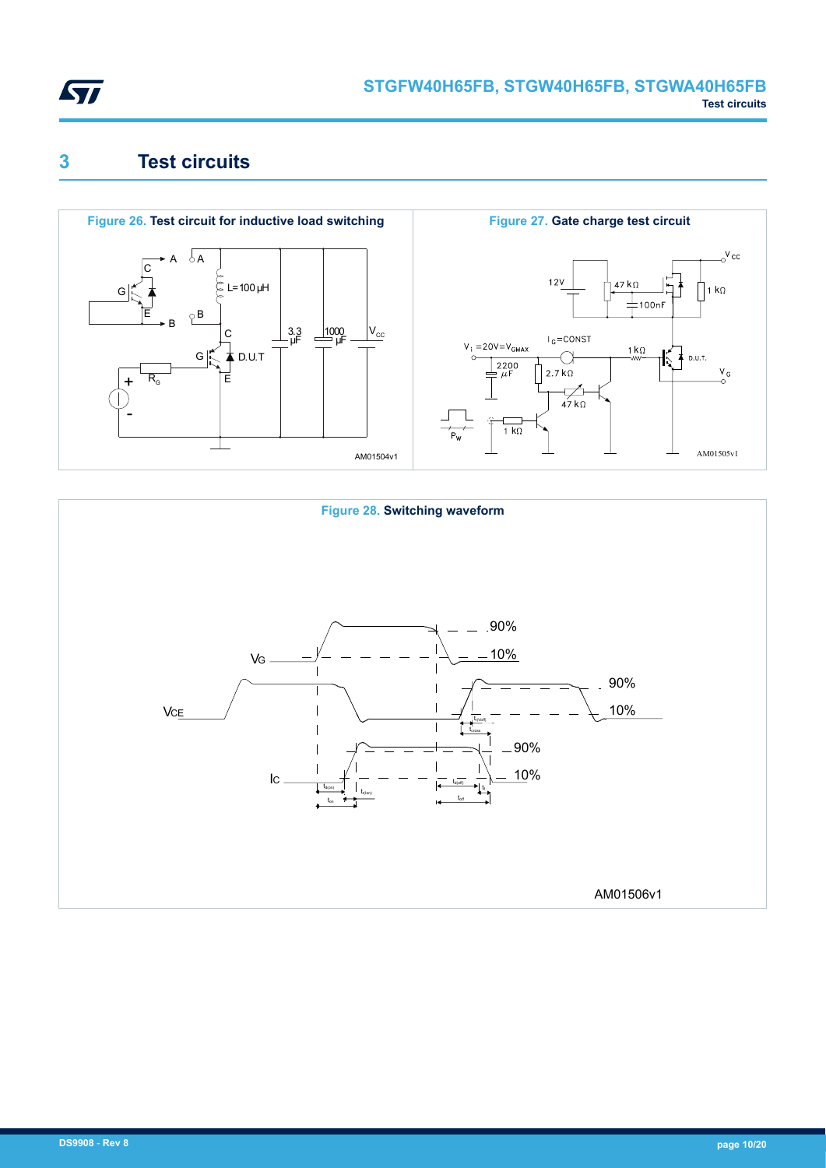<span id="page-9-0"></span>

### **3 Test circuits**





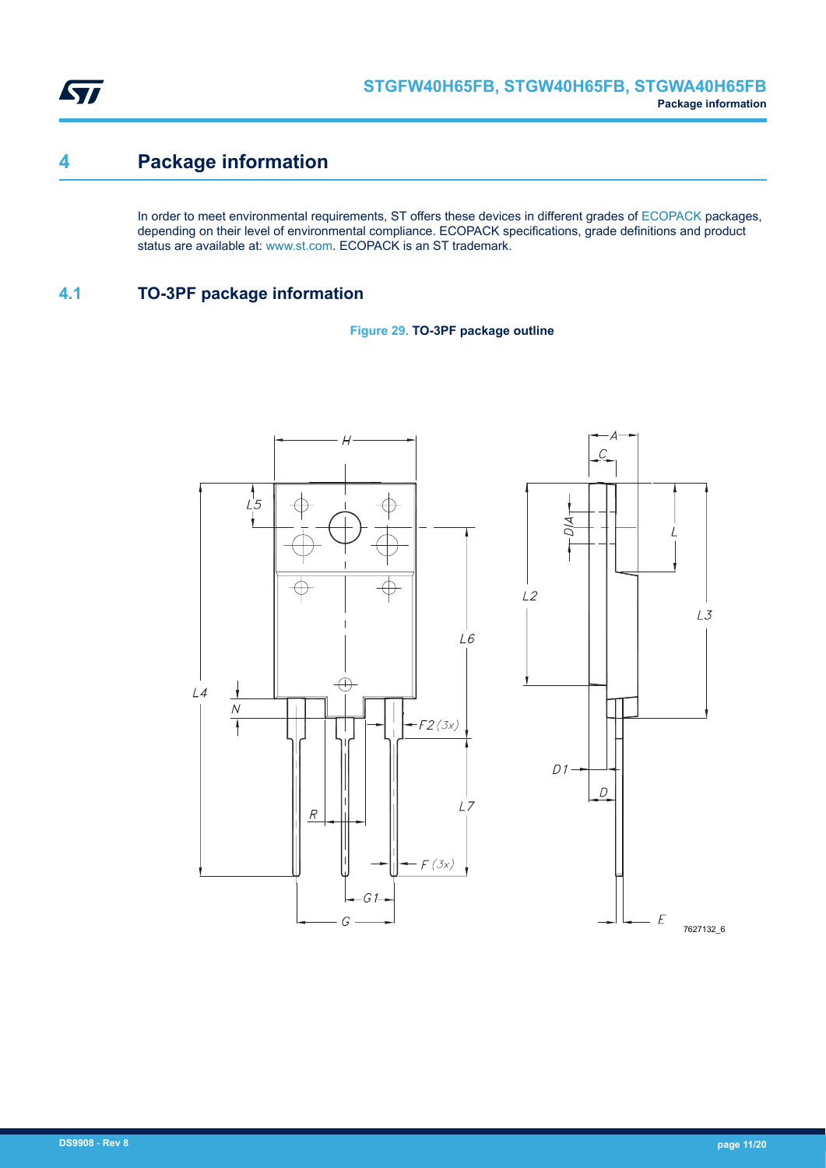<span id="page-10-0"></span>

## **4 Package information**

In order to meet environmental requirements, ST offers these devices in different grades of [ECOPACK](https://www.st.com/ecopack) packages, depending on their level of environmental compliance. ECOPACK specifications, grade definitions and product status are available at: [www.st.com.](http://www.st.com) ECOPACK is an ST trademark.

### **4.1 TO-3PF package information**



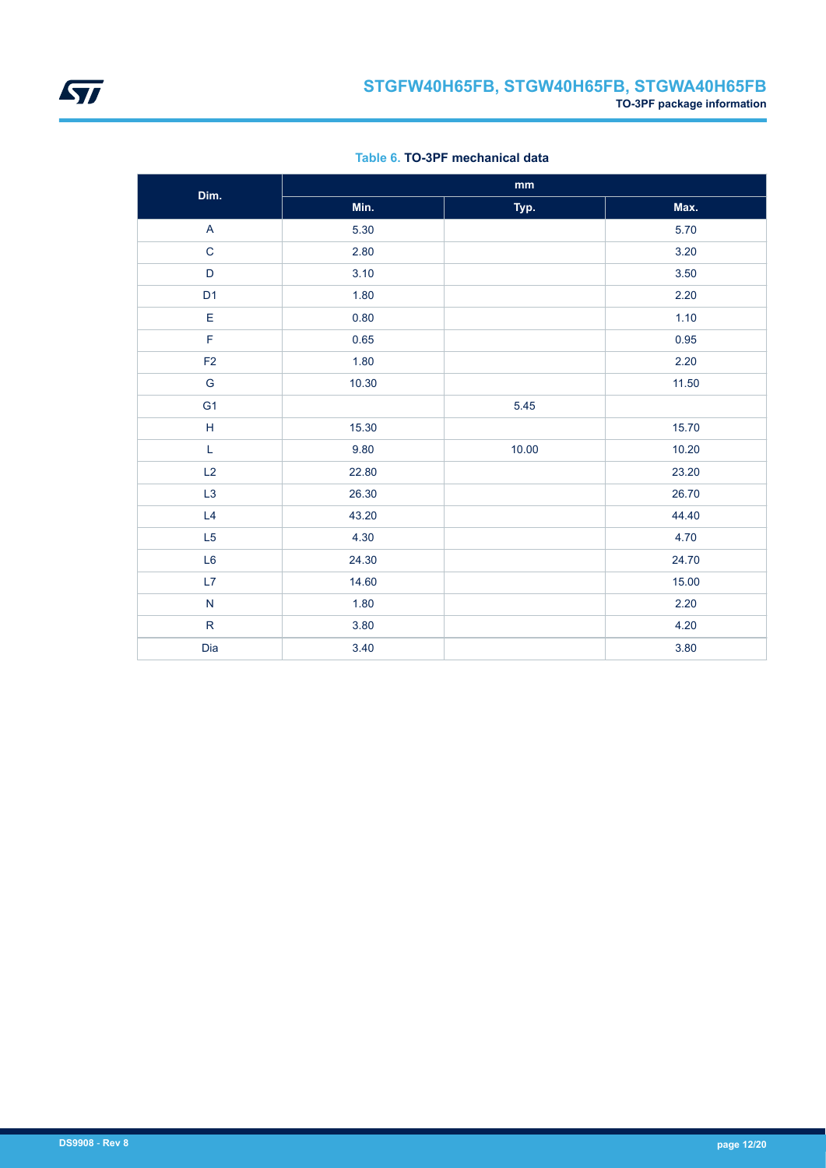

|  |  | Table 6, TO-3PF mechanical data |  |
|--|--|---------------------------------|--|
|--|--|---------------------------------|--|

| Dim.                      |       | $\mathop{\text{mm}}\nolimits$ |          |
|---------------------------|-------|-------------------------------|----------|
|                           | Min.  | Typ.                          | Max.     |
| $\boldsymbol{\mathsf{A}}$ | 5.30  |                               | 5.70     |
| $\mathbf C$               | 2.80  |                               | 3.20     |
| $\mathsf D$               | 3.10  |                               | $3.50\,$ |
| D <sub>1</sub>            | 1.80  |                               | 2.20     |
| $\mathsf E$               | 0.80  |                               | 1.10     |
| F                         | 0.65  |                               | 0.95     |
| F <sub>2</sub>            | 1.80  |                               | 2.20     |
| G                         | 10.30 |                               | 11.50    |
| G <sub>1</sub>            |       | 5.45                          |          |
| $\mathsf H$               | 15.30 |                               | 15.70    |
| L                         | 9.80  | 10.00                         | 10.20    |
| L2                        | 22.80 |                               | 23.20    |
| L <sub>3</sub>            | 26.30 |                               | 26.70    |
| L4                        | 43.20 |                               | 44.40    |
| L5                        | 4.30  |                               | 4.70     |
| L <sub>6</sub>            | 24.30 |                               | 24.70    |
| L7                        | 14.60 |                               | 15.00    |
| ${\sf N}$                 | 1.80  |                               | 2.20     |
| ${\sf R}$                 | 3.80  |                               | 4.20     |
| Dia                       | 3.40  |                               | 3.80     |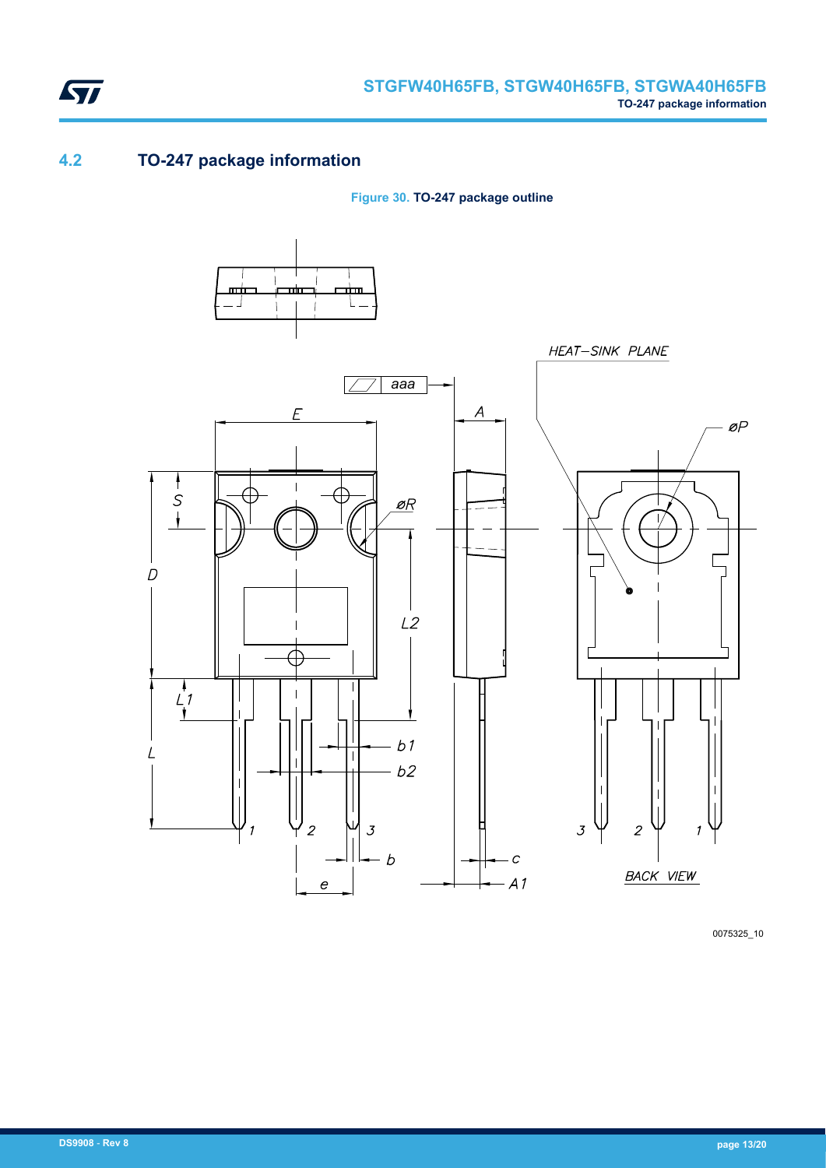<span id="page-12-0"></span>

### **4.2 TO-247 package information**

**Figure 30. TO-247 package outline**



0075325\_10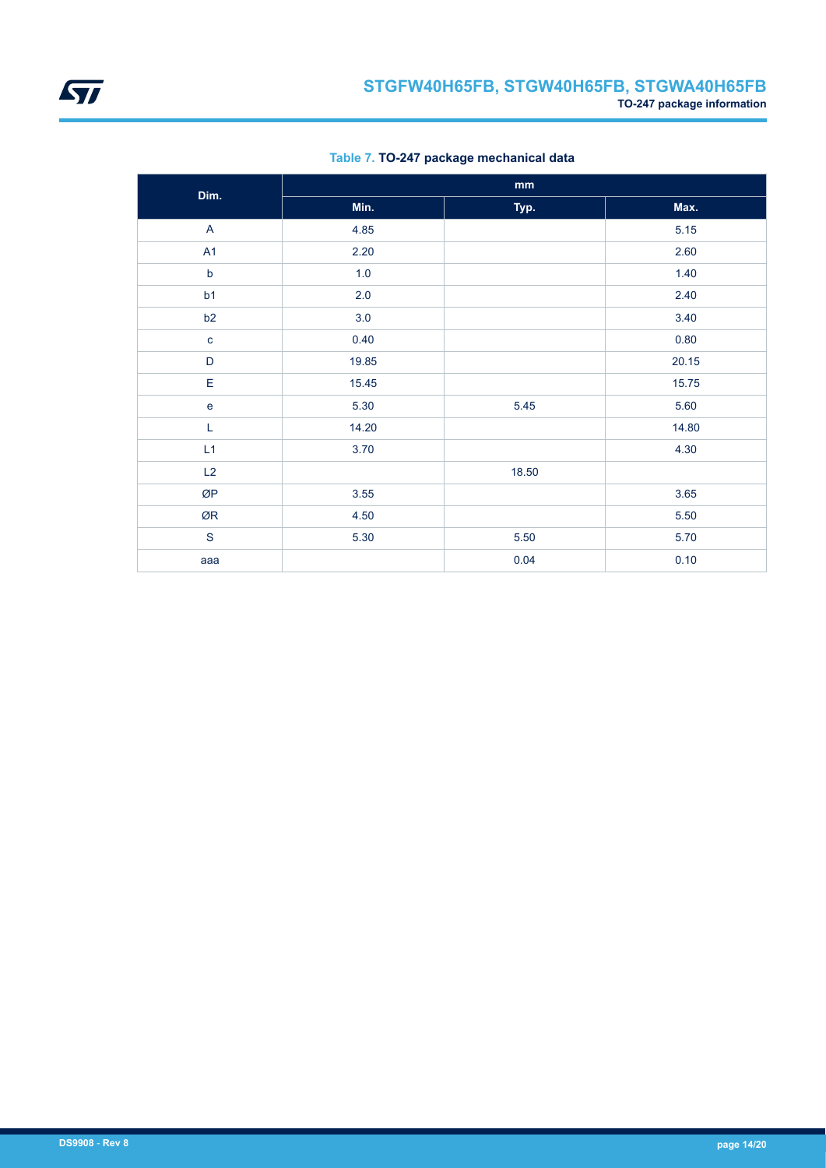

| Dim.           |       | mm    |       |
|----------------|-------|-------|-------|
|                | Min.  | Typ.  | Max.  |
| $\overline{A}$ | 4.85  |       | 5.15  |
| A <sub>1</sub> | 2.20  |       | 2.60  |
| $\mathsf b$    | 1.0   |       | 1.40  |
| b1             | 2.0   |       | 2.40  |
| b2             | 3.0   |       | 3.40  |
| $\mathbf{C}$   | 0.40  |       | 0.80  |
| $\mathsf D$    | 19.85 |       | 20.15 |
| E              | 15.45 |       | 15.75 |
| $\mathbf e$    | 5.30  | 5.45  | 5.60  |
| L              | 14.20 |       | 14.80 |
| L1             | 3.70  |       | 4.30  |
| L2             |       | 18.50 |       |
| ØP             | 3.55  |       | 3.65  |
| ØR             | 4.50  |       | 5.50  |
| ${\mathsf S}$  | 5.30  | 5.50  | 5.70  |
| aaa            |       | 0.04  | 0.10  |

**Table 7. TO-247 package mechanical data**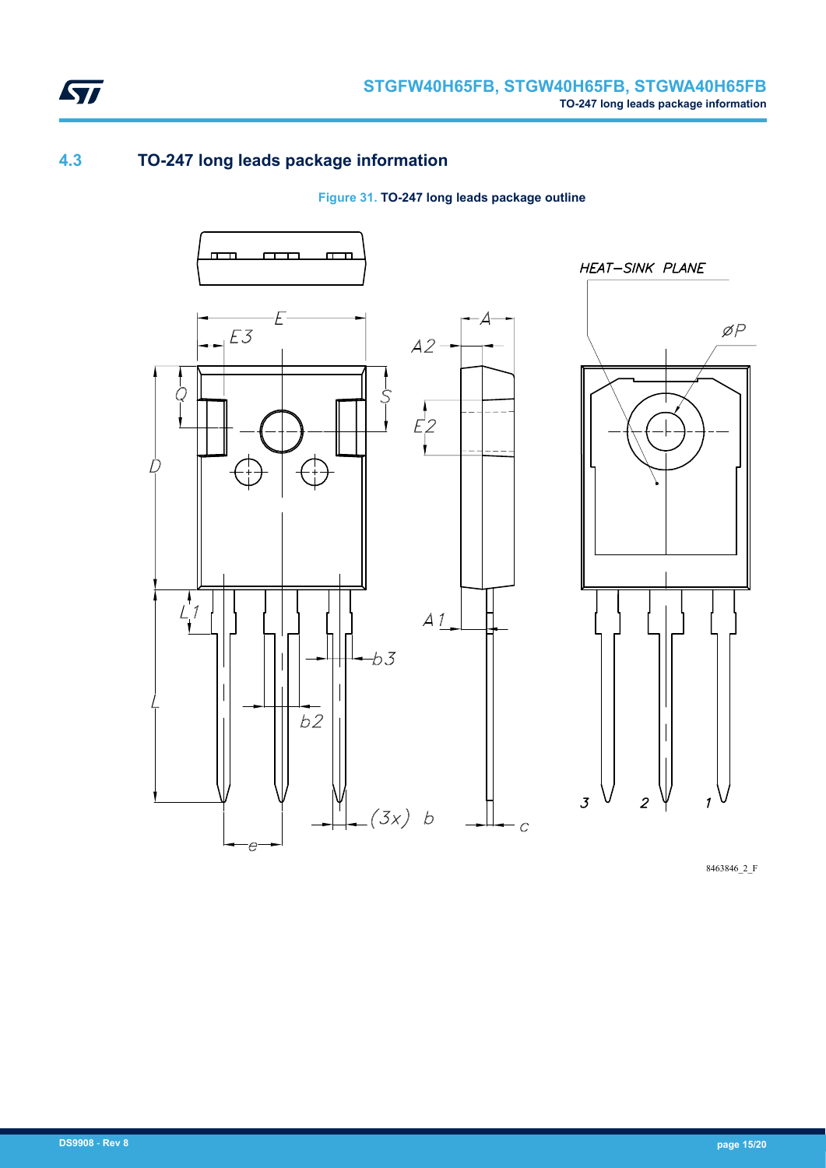<span id="page-14-0"></span>

### **4.3 TO-247 long leads package information**

#### **Figure 31. TO-247 long leads package outline**



8463846\_2\_F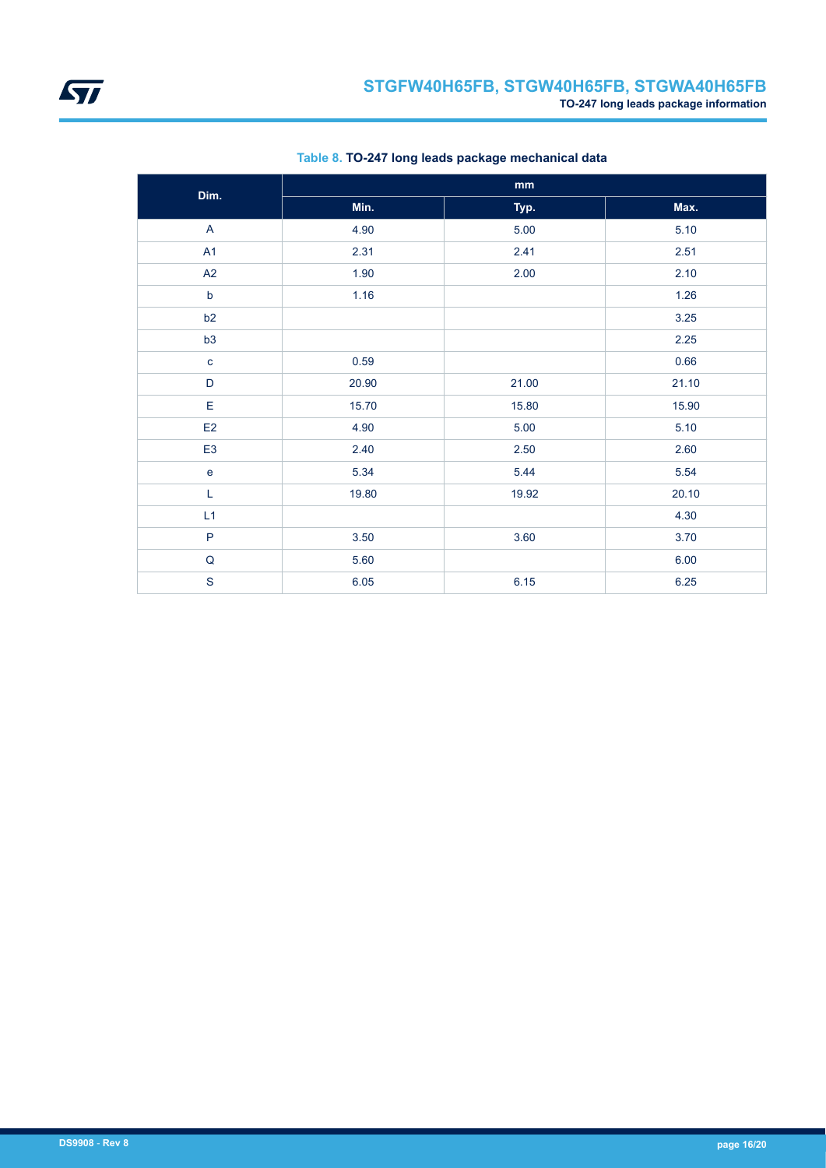

| Dim.           |       | $\mathop{\text{mm}}\nolimits$ |       |
|----------------|-------|-------------------------------|-------|
|                | Min.  | Typ.                          | Max.  |
| $\mathsf{A}$   | 4.90  | 5.00                          | 5.10  |
| A1             | 2.31  | 2.41                          | 2.51  |
| A2             | 1.90  | 2.00                          | 2.10  |
| $\mathsf b$    | 1.16  |                               | 1.26  |
| b2             |       |                               | 3.25  |
| b3             |       |                               | 2.25  |
| $\mathbf c$    | 0.59  |                               | 0.66  |
| D              | 20.90 | 21.00                         | 21.10 |
| E              | 15.70 | 15.80                         | 15.90 |
| E <sub>2</sub> | 4.90  | 5.00                          | 5.10  |
| E <sub>3</sub> | 2.40  | 2.50                          | 2.60  |
| $\mathbf e$    | 5.34  | 5.44                          | 5.54  |
| $\mathsf L$    | 19.80 | 19.92                         | 20.10 |
| L1             |       |                               | 4.30  |
| $\mathsf{P}$   | 3.50  | 3.60                          | 3.70  |
| ${\sf Q}$      | 5.60  |                               | 6.00  |
| $\mathbf S$    | 6.05  | 6.15                          | 6.25  |

### **Table 8. TO-247 long leads package mechanical data**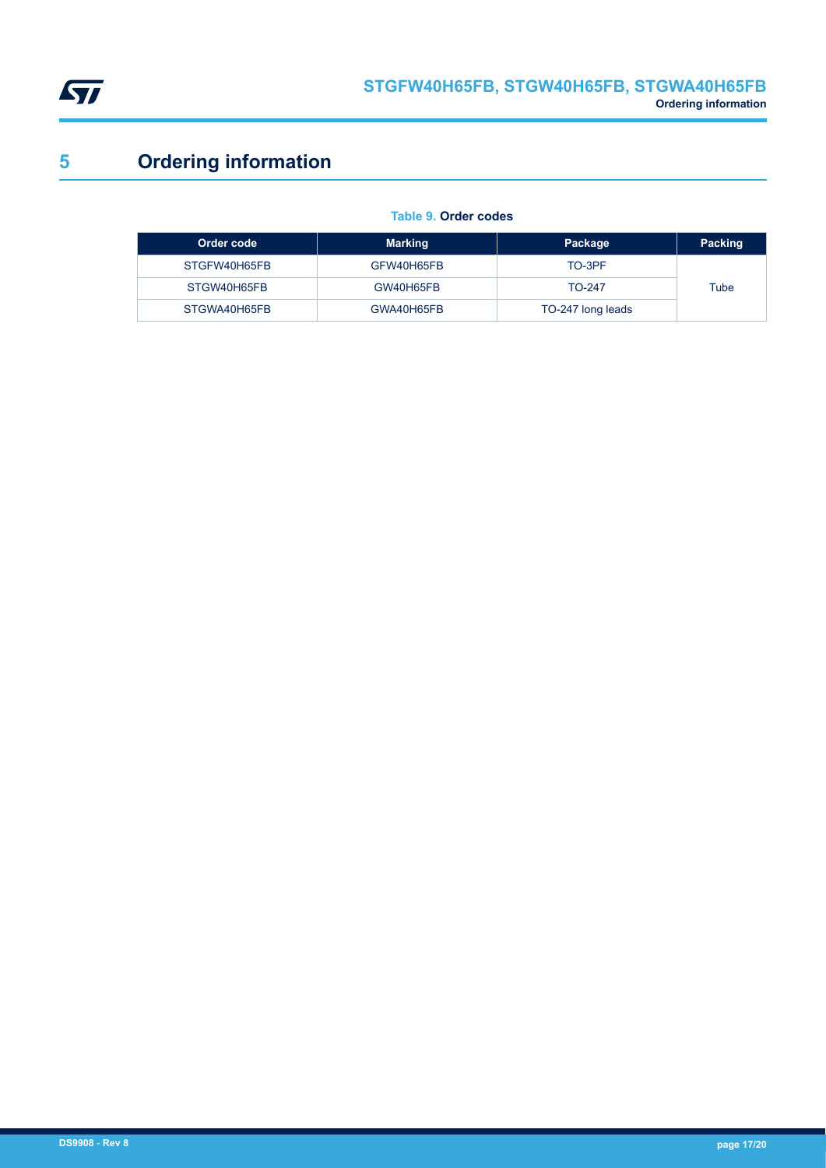<span id="page-16-0"></span>

# **5 Ordering information**

### **Table 9. Order codes**

| Order code   | <b>Marking</b> | Package           | Packing |
|--------------|----------------|-------------------|---------|
| STGFW40H65FB | GFW40H65FB     | TO-3PF            |         |
| STGW40H65FB  | GW40H65FB      | $TO-247$          | Tube    |
| STGWA40H65FB | GWA40H65FB     | TO-247 long leads |         |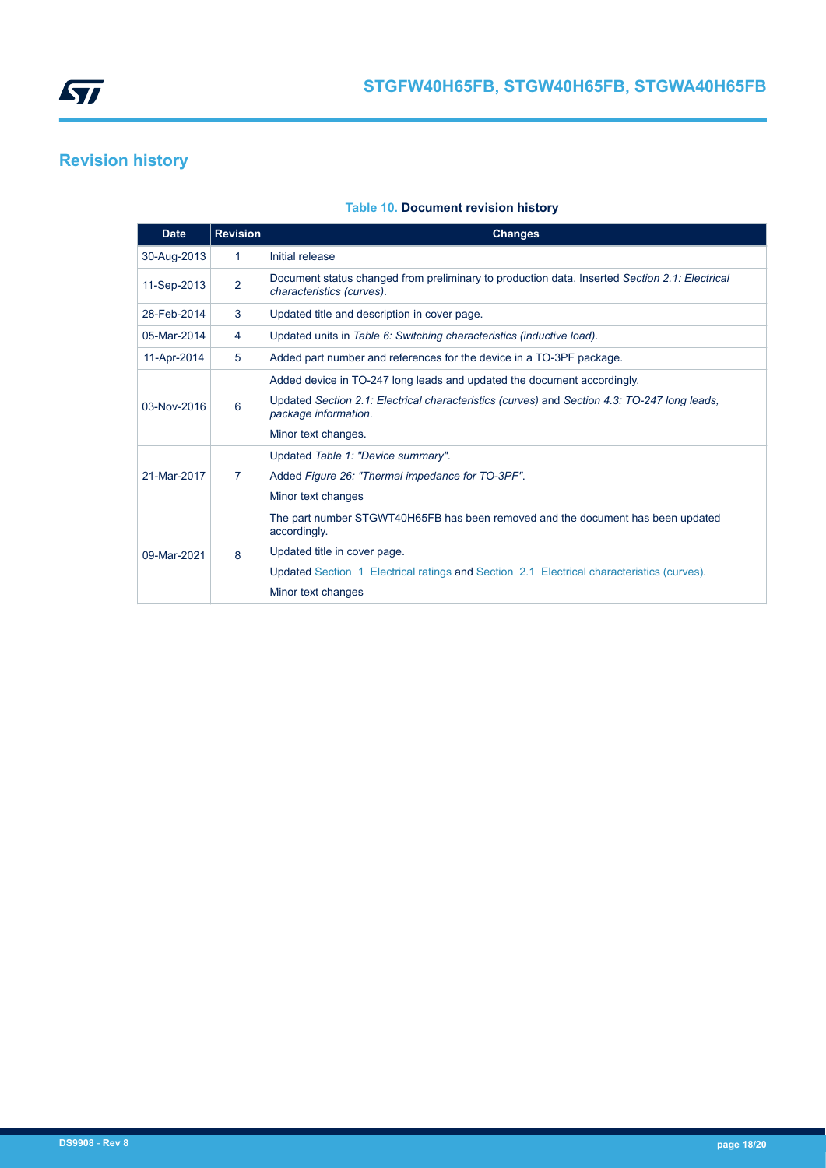<span id="page-17-0"></span>

## **Revision history**

### **Table 10. Document revision history**

| <b>Date</b> | <b>Revision</b> | <b>Changes</b>                                                                                                             |
|-------------|-----------------|----------------------------------------------------------------------------------------------------------------------------|
| 30-Aug-2013 | 1               | Initial release                                                                                                            |
| 11-Sep-2013 | 2               | Document status changed from preliminary to production data. Inserted Section 2.1: Electrical<br>characteristics (curves). |
| 28-Feb-2014 | 3               | Updated title and description in cover page.                                                                               |
| 05-Mar-2014 | 4               | Updated units in Table 6: Switching characteristics (inductive load).                                                      |
| 11-Apr-2014 | 5               | Added part number and references for the device in a TO-3PF package.                                                       |
|             |                 | Added device in TO-247 long leads and updated the document accordingly.                                                    |
| 03-Nov-2016 | 6               | Updated Section 2.1: Electrical characteristics (curves) and Section 4.3: TO-247 long leads,<br>package information.       |
|             |                 | Minor text changes.                                                                                                        |
|             |                 | Updated Table 1: "Device summary".                                                                                         |
| 21-Mar-2017 | 7               | Added Figure 26: "Thermal impedance for TO-3PF".                                                                           |
|             |                 | Minor text changes                                                                                                         |
|             |                 | The part number STGWT40H65FB has been removed and the document has been updated<br>accordingly.                            |
| 09-Mar-2021 | 8               | Updated title in cover page.                                                                                               |
|             |                 | Updated Section 1 Electrical ratings and Section 2.1 Electrical characteristics (curves).                                  |
|             |                 | Minor text changes                                                                                                         |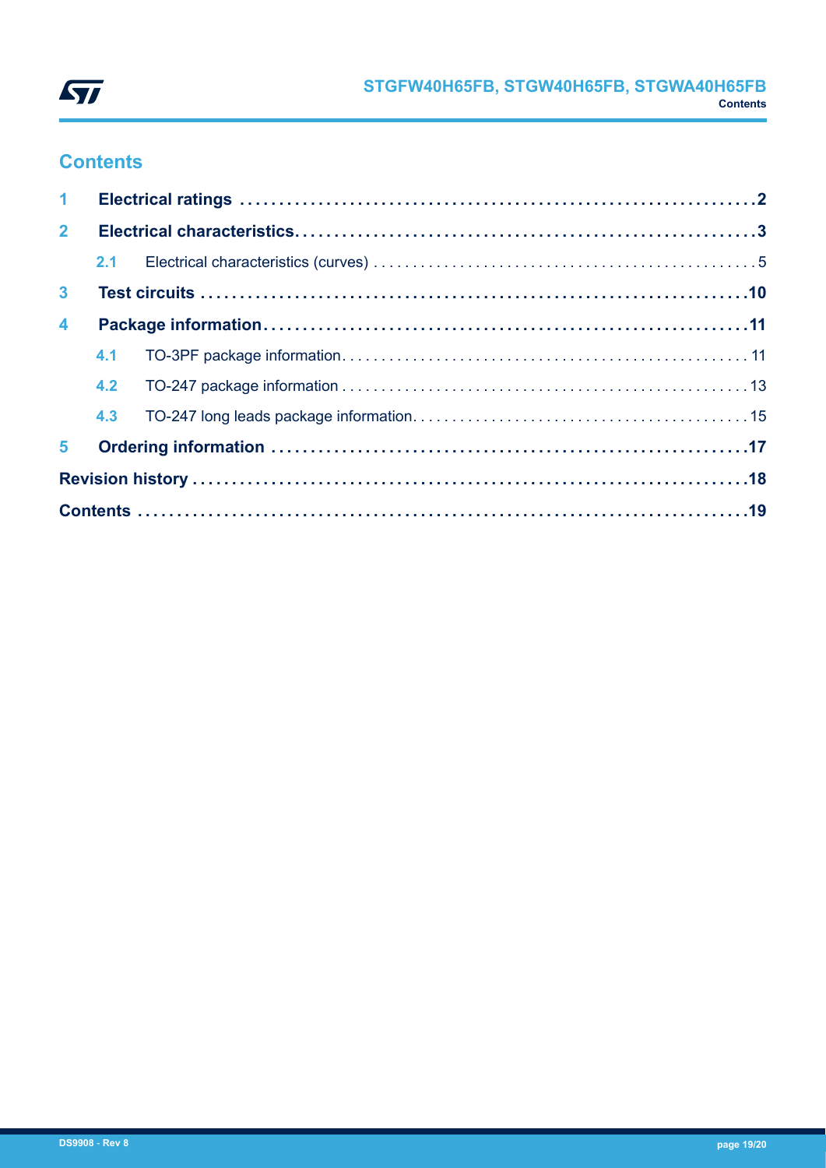

## **Contents**

| 1 <sup>1</sup>          |  |  |  |
|-------------------------|--|--|--|
| 2 <sup>7</sup>          |  |  |  |
|                         |  |  |  |
| 3 <sup>1</sup>          |  |  |  |
| $\overline{\mathbf{4}}$ |  |  |  |
|                         |  |  |  |
|                         |  |  |  |
|                         |  |  |  |
| 5 <sup>1</sup>          |  |  |  |
|                         |  |  |  |
|                         |  |  |  |